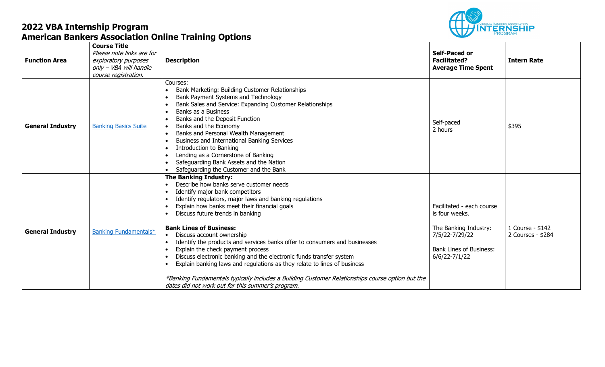

| <b>Function Area</b>    | <b>Course Title</b><br>Please note links are for<br>exploratory purposes<br>only - VBA will handle<br>course registration. | <b>Description</b>                                                                                                                                                                                                                                                                                                                                                                                                                                                                                                                                                                                                                                                                                                                                                                                                                                              | <b>Self-Paced or</b><br><b>Facilitated?</b><br><b>Average Time Spent</b>                                                                      | <b>Intern Rate</b>                    |
|-------------------------|----------------------------------------------------------------------------------------------------------------------------|-----------------------------------------------------------------------------------------------------------------------------------------------------------------------------------------------------------------------------------------------------------------------------------------------------------------------------------------------------------------------------------------------------------------------------------------------------------------------------------------------------------------------------------------------------------------------------------------------------------------------------------------------------------------------------------------------------------------------------------------------------------------------------------------------------------------------------------------------------------------|-----------------------------------------------------------------------------------------------------------------------------------------------|---------------------------------------|
| <b>General Industry</b> | <b>Banking Basics Suite</b>                                                                                                | Courses:<br>Bank Marketing: Building Customer Relationships<br>Bank Payment Systems and Technology<br>Bank Sales and Service: Expanding Customer Relationships<br>Banks as a Business<br>$\bullet$<br>Banks and the Deposit Function<br>$\bullet$<br>Banks and the Economy<br>Banks and Personal Wealth Management<br>$\bullet$<br>Business and International Banking Services<br>$\bullet$<br><b>Introduction to Banking</b><br>$\bullet$<br>Lending as a Cornerstone of Banking<br>$\bullet$<br>Safeguarding Bank Assets and the Nation<br>$\bullet$<br>Safeguarding the Customer and the Bank                                                                                                                                                                                                                                                                | Self-paced<br>2 hours                                                                                                                         | \$395                                 |
| <b>General Industry</b> | Banking Fundamentals*                                                                                                      | <b>The Banking Industry:</b><br>Describe how banks serve customer needs<br>$\bullet$<br>Identify major bank competitors<br>$\bullet$<br>Identify regulators, major laws and banking regulations<br>$\bullet$<br>Explain how banks meet their financial goals<br>$\bullet$<br>Discuss future trends in banking<br><b>Bank Lines of Business:</b><br>Discuss account ownership<br>$\bullet$<br>Identify the products and services banks offer to consumers and businesses<br>$\bullet$<br>Explain the check payment process<br>Discuss electronic banking and the electronic funds transfer system<br>$\bullet$<br>Explain banking laws and regulations as they relate to lines of business<br>$\bullet$<br>*Banking Fundamentals typically includes a Building Customer Relationships course option but the<br>dates did not work out for this summer's program. | Facilitated - each course<br>is four weeks.<br>The Banking Industry:<br>7/5/22-7/29/22<br><b>Bank Lines of Business:</b><br>$6/6/22 - 7/1/22$ | 1 Course - \$142<br>2 Courses - \$284 |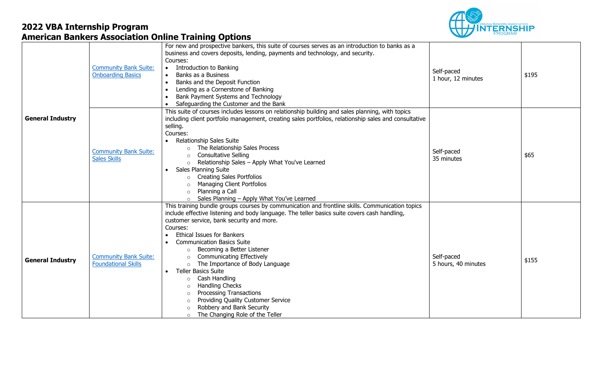

|                         | <b>Community Bank Suite:</b><br><b>Onboarding Basics</b>   | For new and prospective bankers, this suite of courses serves as an introduction to banks as a<br>business and covers deposits, lending, payments and technology, and security.<br>Courses:<br>Introduction to Banking<br>$\bullet$<br>Banks as a Business<br>Banks and the Deposit Function<br>$\bullet$<br>Lending as a Cornerstone of Banking<br>$\bullet$<br>Bank Payment Systems and Technology<br>Safeguarding the Customer and the Bank                                                                                                                                                                                                                                                                                                                              | Self-paced<br>1 hour, 12 minutes  | \$195 |
|-------------------------|------------------------------------------------------------|-----------------------------------------------------------------------------------------------------------------------------------------------------------------------------------------------------------------------------------------------------------------------------------------------------------------------------------------------------------------------------------------------------------------------------------------------------------------------------------------------------------------------------------------------------------------------------------------------------------------------------------------------------------------------------------------------------------------------------------------------------------------------------|-----------------------------------|-------|
| <b>General Industry</b> | <b>Community Bank Suite:</b><br><b>Sales Skills</b>        | This suite of courses includes lessons on relationship building and sales planning, with topics<br>including client portfolio management, creating sales portfolios, relationship sales and consultative<br>selling.<br>Courses:<br><b>Relationship Sales Suite</b><br>$\bullet$<br>o The Relationship Sales Process<br><b>Consultative Selling</b><br>$\circ$<br>Relationship Sales - Apply What You've Learned<br>$\circ$<br><b>Sales Planning Suite</b><br><b>Creating Sales Portfolios</b><br>$\circ$<br>Managing Client Portfolios<br>$\circ$<br>Planning a Call<br>$\circ$<br>Sales Planning - Apply What You've Learned<br>$\circ$                                                                                                                                   | Self-paced<br>35 minutes          | \$65  |
| <b>General Industry</b> | <b>Community Bank Suite:</b><br><b>Foundational Skills</b> | This training bundle groups courses by communication and frontline skills. Communication topics<br>include effective listening and body language. The teller basics suite covers cash handling,<br>customer service, bank security and more.<br>Courses:<br><b>Ethical Issues for Bankers</b><br>$\bullet$<br><b>Communication Basics Suite</b><br>Becoming a Better Listener<br><b>Communicating Effectively</b><br>$\circ$<br>The Importance of Body Language<br>$\circ$<br><b>Teller Basics Suite</b><br>$\bullet$<br>Cash Handling<br>$\circ$<br><b>Handling Checks</b><br>$\circ$<br><b>Processing Transactions</b><br>$\circ$<br>Providing Quality Customer Service<br>$\circ$<br>Robbery and Bank Security<br>$\Omega$<br>The Changing Role of the Teller<br>$\circ$ | Self-paced<br>5 hours, 40 minutes | \$155 |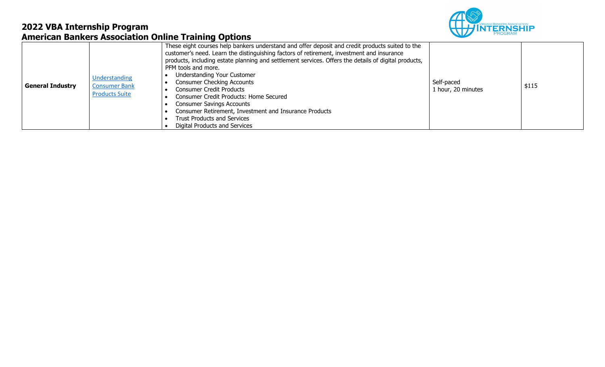

| <b>General Industry</b> | Understanding<br><b>Consumer Bank</b><br><b>Products Suite</b> | These eight courses help bankers understand and offer deposit and credit products suited to the<br>customer's need. Learn the distinguishing factors of retirement, investment and insurance<br>products, including estate planning and settlement services. Offers the details of digital products,<br>PFM tools and more.<br>Understanding Your Customer<br><b>Consumer Checking Accounts</b><br><b>Consumer Credit Products</b><br><b>Consumer Credit Products: Home Secured</b><br><b>Consumer Savings Accounts</b><br>Consumer Retirement, Investment and Insurance Products<br><b>Trust Products and Services</b><br>Digital Products and Services | Self-paced<br>1 hour, 20 minutes | \$115 |
|-------------------------|----------------------------------------------------------------|----------------------------------------------------------------------------------------------------------------------------------------------------------------------------------------------------------------------------------------------------------------------------------------------------------------------------------------------------------------------------------------------------------------------------------------------------------------------------------------------------------------------------------------------------------------------------------------------------------------------------------------------------------|----------------------------------|-------|
|-------------------------|----------------------------------------------------------------|----------------------------------------------------------------------------------------------------------------------------------------------------------------------------------------------------------------------------------------------------------------------------------------------------------------------------------------------------------------------------------------------------------------------------------------------------------------------------------------------------------------------------------------------------------------------------------------------------------------------------------------------------------|----------------------------------|-------|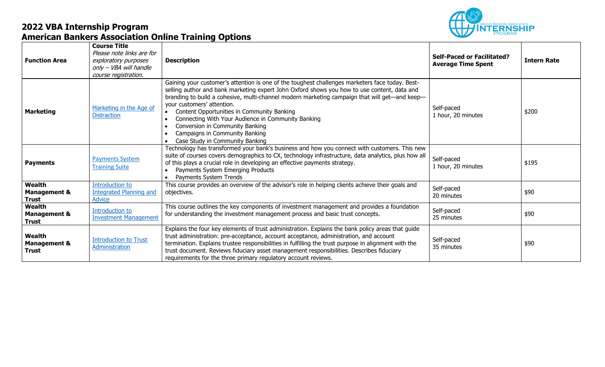

| <b>Function Area</b>                                     | <b>Course Title</b><br>Please note links are for<br>exploratory purposes<br>only - VBA will handle<br>course registration. | <b>Description</b>                                                                                                                                                                                                                                                                                                                                                                                                                                                                                                                        | <b>Self-Paced or Facilitated?</b><br><b>Average Time Spent</b> | <b>Intern Rate</b> |
|----------------------------------------------------------|----------------------------------------------------------------------------------------------------------------------------|-------------------------------------------------------------------------------------------------------------------------------------------------------------------------------------------------------------------------------------------------------------------------------------------------------------------------------------------------------------------------------------------------------------------------------------------------------------------------------------------------------------------------------------------|----------------------------------------------------------------|--------------------|
| <b>Marketing</b>                                         | Marketing in the Age of<br><b>Distraction</b>                                                                              | Gaining your customer's attention is one of the toughest challenges marketers face today. Best-<br>selling author and bank marketing expert John Oxford shows you how to use content, data and<br>branding to build a cohesive, multi-channel modern marketing campaign that will get—and keep—<br>your customers' attention.<br>Content Opportunities in Community Banking<br>Connecting With Your Audience in Community Banking<br>Conversion in Community Banking<br>Campaigns in Community Banking<br>Case Study in Community Banking | Self-paced<br>1 hour, 20 minutes                               | \$200              |
| <b>Payments</b>                                          | <b>Payments System</b><br><b>Training Suite</b>                                                                            | Technology has transformed your bank's business and how you connect with customers. This new<br>suite of courses covers demographics to CX, technology infrastructure, data analytics, plus how all<br>of this plays a crucial role in developing an effective payments strategy.<br>Payments System Emerging Products<br>Payments System Trends                                                                                                                                                                                          | Self-paced<br>1 hour, 20 minutes                               | \$195              |
| <b>Wealth</b><br><b>Management &amp;</b><br><b>Trust</b> | <b>Introduction to</b><br><b>Integrated Planning and</b><br><b>Advice</b>                                                  | This course provides an overview of the advisor's role in helping clients achieve their goals and<br>objectives.                                                                                                                                                                                                                                                                                                                                                                                                                          | Self-paced<br>20 minutes                                       | \$90               |
| Wealth<br><b>Management &amp;</b><br><b>Trust</b>        | <b>Introduction to</b><br><b>Investment Management</b>                                                                     | This course outlines the key components of investment management and provides a foundation<br>for understanding the investment management process and basic trust concepts.                                                                                                                                                                                                                                                                                                                                                               | Self-paced<br>25 minutes                                       | \$90               |
| Wealth<br><b>Management &amp;</b><br><b>Trust</b>        | <b>Introduction to Trust</b><br>Administration                                                                             | Explains the four key elements of trust administration. Explains the bank policy areas that guide<br>trust administration: pre-acceptance, account acceptance, administration, and account<br>termination. Explains trustee responsibilities in fulfilling the trust purpose in alignment with the<br>trust document. Reviews fiduciary asset management responsibilities. Describes fiduciary<br>requirements for the three primary regulatory account reviews.                                                                          | Self-paced<br>35 minutes                                       | \$90               |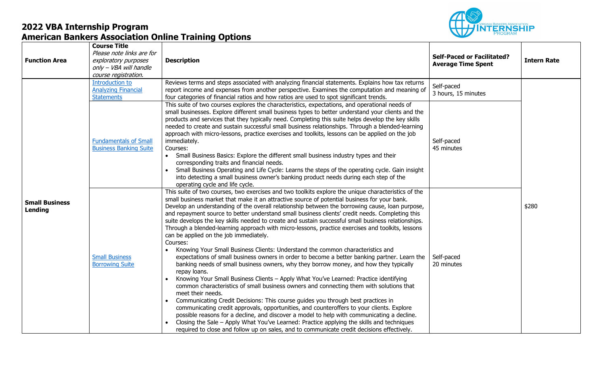

| <b>Function Area</b>             | <b>Course Title</b><br>Please note links are for<br>exploratory purposes<br>only - VBA will handle<br>course registration. | <b>Description</b>                                                                                                                                                                                                                                                                                                                                                                                                                                                                                                                                                                                                                                                                                                                                                                                                                                                                                                                                                                                                                                                                                                                                                                                                                                                                                                                                                                                                                                                                                                                                                                                                                                       | <b>Self-Paced or Facilitated?</b><br><b>Average Time Spent</b> | <b>Intern Rate</b> |
|----------------------------------|----------------------------------------------------------------------------------------------------------------------------|----------------------------------------------------------------------------------------------------------------------------------------------------------------------------------------------------------------------------------------------------------------------------------------------------------------------------------------------------------------------------------------------------------------------------------------------------------------------------------------------------------------------------------------------------------------------------------------------------------------------------------------------------------------------------------------------------------------------------------------------------------------------------------------------------------------------------------------------------------------------------------------------------------------------------------------------------------------------------------------------------------------------------------------------------------------------------------------------------------------------------------------------------------------------------------------------------------------------------------------------------------------------------------------------------------------------------------------------------------------------------------------------------------------------------------------------------------------------------------------------------------------------------------------------------------------------------------------------------------------------------------------------------------|----------------------------------------------------------------|--------------------|
|                                  | <b>Introduction to</b><br><b>Analyzing Financial</b><br><b>Statements</b>                                                  | Reviews terms and steps associated with analyzing financial statements. Explains how tax returns<br>report income and expenses from another perspective. Examines the computation and meaning of<br>four categories of financial ratios and how ratios are used to spot significant trends.                                                                                                                                                                                                                                                                                                                                                                                                                                                                                                                                                                                                                                                                                                                                                                                                                                                                                                                                                                                                                                                                                                                                                                                                                                                                                                                                                              | Self-paced<br>3 hours, 15 minutes                              |                    |
|                                  | <b>Fundamentals of Small</b><br><b>Business Banking Suite</b>                                                              | This suite of two courses explores the characteristics, expectations, and operational needs of<br>small businesses. Explore different small business types to better understand your clients and the<br>products and services that they typically need. Completing this suite helps develop the key skills<br>needed to create and sustain successful small business relationships. Through a blended-learning<br>approach with micro-lessons, practice exercises and toolkits, lessons can be applied on the job<br>immediately.<br>Courses:<br>• Small Business Basics: Explore the different small business industry types and their<br>corresponding traits and financial needs.<br>Small Business Operating and Life Cycle: Learns the steps of the operating cycle. Gain insight<br>into detecting a small business owner's banking product needs during each step of the<br>operating cycle and life cycle.                                                                                                                                                                                                                                                                                                                                                                                                                                                                                                                                                                                                                                                                                                                                       | Self-paced<br>45 minutes                                       |                    |
| <b>Small Business</b><br>Lending | <b>Small Business</b><br><b>Borrowing Suite</b>                                                                            | This suite of two courses, two exercises and two toolkits explore the unique characteristics of the<br>small business market that make it an attractive source of potential business for your bank.<br>Develop an understanding of the overall relationship between the borrowing cause, loan purpose,<br>and repayment source to better understand small business clients' credit needs. Completing this<br>suite develops the key skills needed to create and sustain successful small business relationships.<br>Through a blended-learning approach with micro-lessons, practice exercises and toolkits, lessons<br>can be applied on the job immediately.<br>Courses:<br>Knowing Your Small Business Clients: Understand the common characteristics and<br>expectations of small business owners in order to become a better banking partner. Learn the<br>banking needs of small business owners, why they borrow money, and how they typically<br>repay loans.<br>Knowing Your Small Business Clients - Apply What You've Learned: Practice identifying<br>common characteristics of small business owners and connecting them with solutions that<br>meet their needs.<br>Communicating Credit Decisions: This course guides you through best practices in<br>communicating credit approvals, opportunities, and counteroffers to your clients. Explore<br>possible reasons for a decline, and discover a model to help with communicating a decline.<br>Closing the Sale - Apply What You've Learned: Practice applying the skills and techniques<br>required to close and follow up on sales, and to communicate credit decisions effectively. | Self-paced<br>20 minutes                                       | \$280              |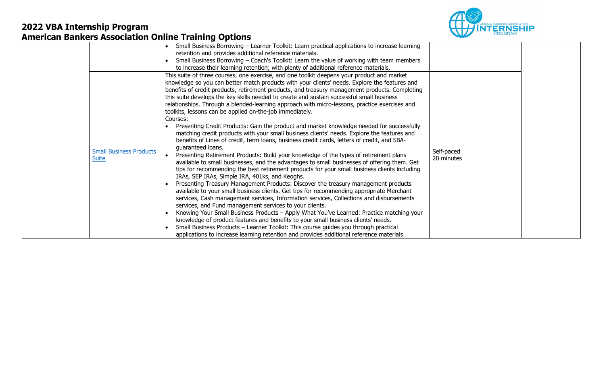

|                                                | Small Business Borrowing - Learner Toolkit: Learn practical applications to increase learning<br>retention and provides additional reference materials.<br>Small Business Borrowing – Coach's Toolkit: Learn the value of working with team members<br>to increase their learning retention; with plenty of additional reference materials.                                                                                                                                                                                                                                                                                                                                                                                                                                                                                                                                                                                                                                                                                                                                                                                                                                                                                                                                                                                                                                                                                                                                                                                                                                                                                                                                                                                                                                                                                                                                                                                              |                          |  |
|------------------------------------------------|------------------------------------------------------------------------------------------------------------------------------------------------------------------------------------------------------------------------------------------------------------------------------------------------------------------------------------------------------------------------------------------------------------------------------------------------------------------------------------------------------------------------------------------------------------------------------------------------------------------------------------------------------------------------------------------------------------------------------------------------------------------------------------------------------------------------------------------------------------------------------------------------------------------------------------------------------------------------------------------------------------------------------------------------------------------------------------------------------------------------------------------------------------------------------------------------------------------------------------------------------------------------------------------------------------------------------------------------------------------------------------------------------------------------------------------------------------------------------------------------------------------------------------------------------------------------------------------------------------------------------------------------------------------------------------------------------------------------------------------------------------------------------------------------------------------------------------------------------------------------------------------------------------------------------------------|--------------------------|--|
| <b>Small Business Products</b><br><b>Suite</b> | This suite of three courses, one exercise, and one toolkit deepens your product and market<br>knowledge so you can better match products with your clients' needs. Explore the features and<br>benefits of credit products, retirement products, and treasury management products. Completing<br>this suite develops the key skills needed to create and sustain successful small business<br>relationships. Through a blended-learning approach with micro-lessons, practice exercises and<br>toolkits, lessons can be applied on-the-job immediately.<br>Courses:<br>Presenting Credit Products: Gain the product and market knowledge needed for successfully<br>matching credit products with your small business clients' needs. Explore the features and<br>benefits of Lines of credit, term loans, business credit cards, letters of credit, and SBA-<br>quaranteed loans.<br>Presenting Retirement Products: Build your knowledge of the types of retirement plans<br>available to small businesses, and the advantages to small businesses of offering them. Get<br>tips for recommending the best retirement products for your small business clients including<br>IRAs, SEP IRAs, Simple IRA, 401ks, and Keoghs.<br>Presenting Treasury Management Products: Discover the treasury management products<br>available to your small business clients. Get tips for recommending appropriate Merchant<br>services, Cash management services, Information services, Collections and disbursements<br>services, and Fund management services to your clients.<br>Knowing Your Small Business Products - Apply What You've Learned: Practice matching your<br>knowledge of product features and benefits to your small business clients' needs.<br>Small Business Products - Learner Toolkit: This course guides you through practical<br>applications to increase learning retention and provides additional reference materials. | Self-paced<br>20 minutes |  |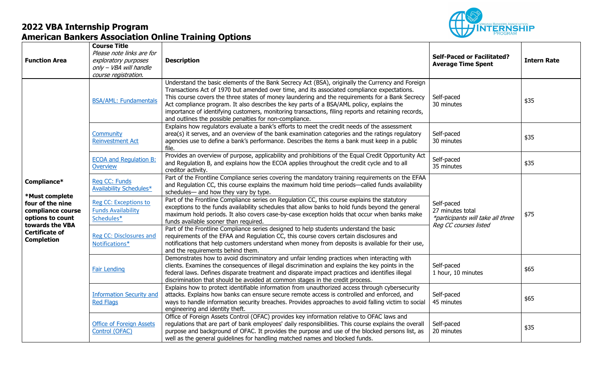

| <b>Function Area</b>                                                                                                                                        | <b>Course Title</b><br>Please note links are for<br>exploratory purposes<br>only - VBA will handle<br>course registration. | <b>Description</b>                                                                                                                                                                                                                                                                                                                                                                                                                                                                                                                                                | <b>Self-Paced or Facilitated?</b><br><b>Average Time Spent</b>                               | <b>Intern Rate</b> |
|-------------------------------------------------------------------------------------------------------------------------------------------------------------|----------------------------------------------------------------------------------------------------------------------------|-------------------------------------------------------------------------------------------------------------------------------------------------------------------------------------------------------------------------------------------------------------------------------------------------------------------------------------------------------------------------------------------------------------------------------------------------------------------------------------------------------------------------------------------------------------------|----------------------------------------------------------------------------------------------|--------------------|
|                                                                                                                                                             | <b>BSA/AML: Fundamentals</b>                                                                                               | Understand the basic elements of the Bank Secrecy Act (BSA), originally the Currency and Foreign<br>Transactions Act of 1970 but amended over time, and its associated compliance expectations.<br>This course covers the three states of money laundering and the requirements for a Bank Secrecy<br>Act compliance program. It also describes the key parts of a BSA/AML policy, explains the<br>importance of identifying customers, monitoring transactions, filing reports and retaining records,<br>and outlines the possible penalties for non-compliance. | Self-paced<br>30 minutes                                                                     | \$35               |
|                                                                                                                                                             | Community<br><b>Reinvestment Act</b>                                                                                       | Explains how regulators evaluate a bank's efforts to meet the credit needs of the assessment<br>area(s) it serves, and an overview of the bank examination categories and the ratings regulatory<br>agencies use to define a bank's performance. Describes the items a bank must keep in a public<br>file.                                                                                                                                                                                                                                                        | Self-paced<br>30 minutes                                                                     | \$35               |
|                                                                                                                                                             | <b>ECOA and Regulation B:</b><br>Overview                                                                                  | Provides an overview of purpose, applicability and prohibitions of the Equal Credit Opportunity Act<br>and Regulation B, and explains how the ECOA applies throughout the credit cycle and to all<br>creditor activity.                                                                                                                                                                                                                                                                                                                                           | Self-paced<br>35 minutes                                                                     | \$35               |
| Compliance*<br>*Must complete<br>four of the nine<br>compliance course<br>options to count<br>towards the VBA<br><b>Certificate of</b><br><b>Completion</b> | Reg CC: Funds<br>Availability Schedules*                                                                                   | Part of the Frontline Compliance series covering the mandatory training requirements on the EFAA<br>and Regulation CC, this course explains the maximum hold time periods—called funds availability<br>schedules— and how they vary by type.                                                                                                                                                                                                                                                                                                                      | Self-paced<br>27 minutes total<br>*participants will take all three<br>Reg CC courses listed | \$75               |
|                                                                                                                                                             | Reg CC: Exceptions to<br><b>Funds Availability</b><br>Schedules*                                                           | Part of the Frontline Compliance series on Regulation CC, this course explains the statutory<br>exceptions to the funds availability schedules that allow banks to hold funds beyond the general<br>maximum hold periods. It also covers case-by-case exception holds that occur when banks make<br>funds available sooner than required.                                                                                                                                                                                                                         |                                                                                              |                    |
|                                                                                                                                                             | Reg CC: Disclosures and<br>Notifications*                                                                                  | Part of the Frontline Compliance series designed to help students understand the basic<br>requirements of the EFAA and Regulation CC, this course covers certain disclosures and<br>notifications that help customers understand when money from deposits is available for their use,<br>and the requirements behind them.                                                                                                                                                                                                                                        |                                                                                              |                    |
|                                                                                                                                                             | <b>Fair Lending</b>                                                                                                        | Demonstrates how to avoid discriminatory and unfair lending practices when interacting with<br>clients. Examines the consequences of illegal discrimination and explains the key points in the<br>federal laws. Defines disparate treatment and disparate impact practices and identifies illegal<br>discrimination that should be avoided at common stages in the credit process.                                                                                                                                                                                | Self-paced<br>1 hour, 10 minutes                                                             | \$65               |
|                                                                                                                                                             | <b>Information Security and</b><br><b>Red Flags</b>                                                                        | Explains how to protect identifiable information from unauthorized access through cybersecurity<br>attacks. Explains how banks can ensure secure remote access is controlled and enforced, and<br>ways to handle information security breaches. Provides approaches to avoid falling victim to social<br>engineering and identity theft.                                                                                                                                                                                                                          | Self-paced<br>45 minutes                                                                     | \$65               |
|                                                                                                                                                             | <b>Office of Foreign Assets</b><br>Control (OFAC)                                                                          | Office of Foreign Assets Control (OFAC) provides key information relative to OFAC laws and<br>regulations that are part of bank employees' daily responsibilities. This course explains the overall<br>purpose and background of OFAC. It provides the purpose and use of the blocked persons list, as<br>well as the general guidelines for handling matched names and blocked funds.                                                                                                                                                                            | Self-paced<br>20 minutes                                                                     | \$35               |